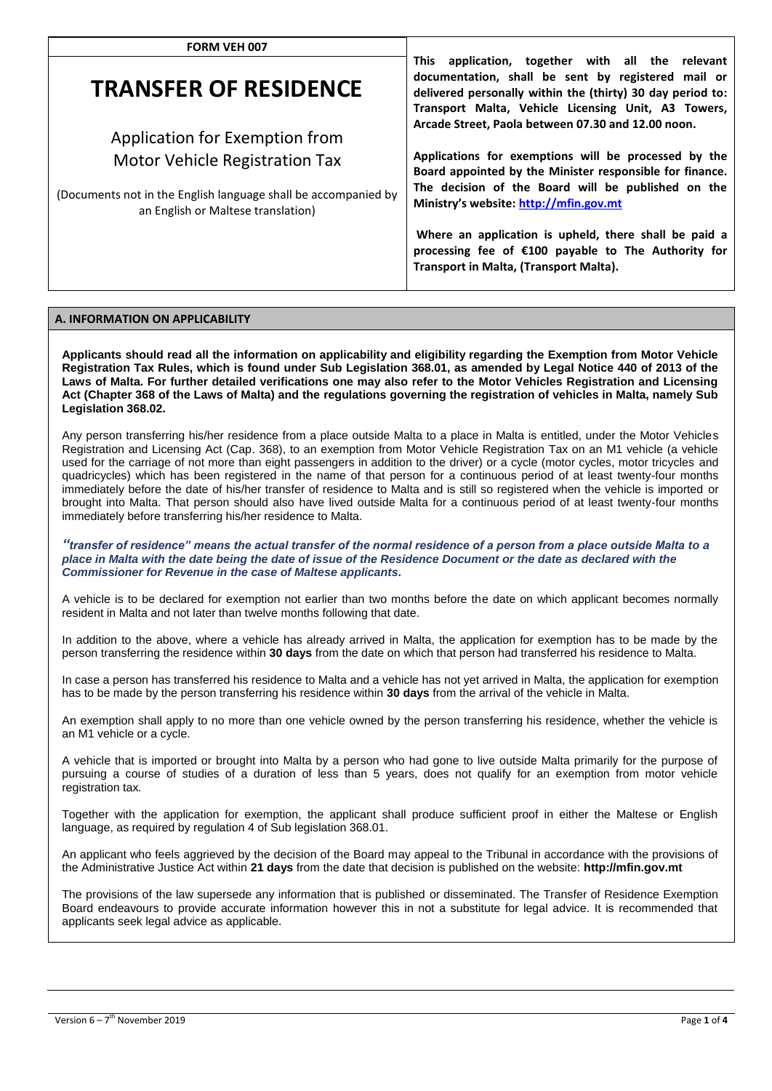| <b>FORM VEH 007</b>                                                                                  |                                                                                                                                                                                                                                  |  |  |
|------------------------------------------------------------------------------------------------------|----------------------------------------------------------------------------------------------------------------------------------------------------------------------------------------------------------------------------------|--|--|
| <b>TRANSFER OF RESIDENCE</b>                                                                         | application, together with all the relevant<br>This .<br>documentation, shall be sent by registered mail or<br>delivered personally within the (thirty) 30 day period to:<br>Transport Malta, Vehicle Licensing Unit, A3 Towers, |  |  |
| Application for Exemption from                                                                       | Arcade Street, Paola between 07.30 and 12.00 noon.                                                                                                                                                                               |  |  |
| Motor Vehicle Registration Tax                                                                       | Applications for exemptions will be processed by the<br>Board appointed by the Minister responsible for finance.                                                                                                                 |  |  |
| (Documents not in the English language shall be accompanied by<br>an English or Maltese translation) | The decision of the Board will be published on the<br>Ministry's website: http://mfin.gov.mt                                                                                                                                     |  |  |
|                                                                                                      | Where an application is upheld, there shall be paid a<br>processing fee of €100 payable to The Authority for<br>Transport in Malta, (Transport Malta).                                                                           |  |  |

# **A. INFORMATION ON APPLICABILITY**

**Applicants should read all the information on applicability and eligibility regarding the Exemption from Motor Vehicle Registration Tax Rules, which is found under Sub Legislation 368.01, as amended by Legal Notice 440 of 2013 of the Laws of Malta. For further detailed verifications one may also refer to the Motor Vehicles Registration and Licensing Act (Chapter 368 of the Laws of Malta) and the regulations governing the registration of vehicles in Malta, namely Sub Legislation 368.02.** 

Any person transferring his/her residence from a place outside Malta to a place in Malta is entitled, under the Motor Vehicles Registration and Licensing Act (Cap. 368), to an exemption from Motor Vehicle Registration Tax on an M1 vehicle (a vehicle used for the carriage of not more than eight passengers in addition to the driver) or a cycle (motor cycles, motor tricycles and quadricycles) which has been registered in the name of that person for a continuous period of at least twenty-four months immediately before the date of his/her transfer of residence to Malta and is still so registered when the vehicle is imported or brought into Malta. That person should also have lived outside Malta for a continuous period of at least twenty-four months immediately before transferring his/her residence to Malta.

*"transfer of residence" means the actual transfer of the normal residence of a person from a place outside Malta to a place in Malta with the date being the date of issue of the Residence Document or the date as declared with the Commissioner for Revenue in the case of Maltese applicants.*

A vehicle is to be declared for exemption not earlier than two months before the date on which applicant becomes normally resident in Malta and not later than twelve months following that date.

In addition to the above, where a vehicle has already arrived in Malta, the application for exemption has to be made by the person transferring the residence within **30 days** from the date on which that person had transferred his residence to Malta.

In case a person has transferred his residence to Malta and a vehicle has not yet arrived in Malta, the application for exemption has to be made by the person transferring his residence within **30 days** from the arrival of the vehicle in Malta.

An exemption shall apply to no more than one vehicle owned by the person transferring his residence, whether the vehicle is an M1 vehicle or a cycle.

A vehicle that is imported or brought into Malta by a person who had gone to live outside Malta primarily for the purpose of pursuing a course of studies of a duration of less than 5 years, does not qualify for an exemption from motor vehicle registration tax.

Together with the application for exemption, the applicant shall produce sufficient proof in either the Maltese or English language, as required by regulation 4 of Sub legislation 368.01.

An applicant who feels aggrieved by the decision of the Board may appeal to the Tribunal in accordance with the provisions of the Administrative Justice Act within **21 days** from the date that decision is published on the website: **http://mfin.gov.mt**

The provisions of the law supersede any information that is published or disseminated. The Transfer of Residence Exemption Board endeavours to provide accurate information however this in not a substitute for legal advice. It is recommended that applicants seek legal advice as applicable.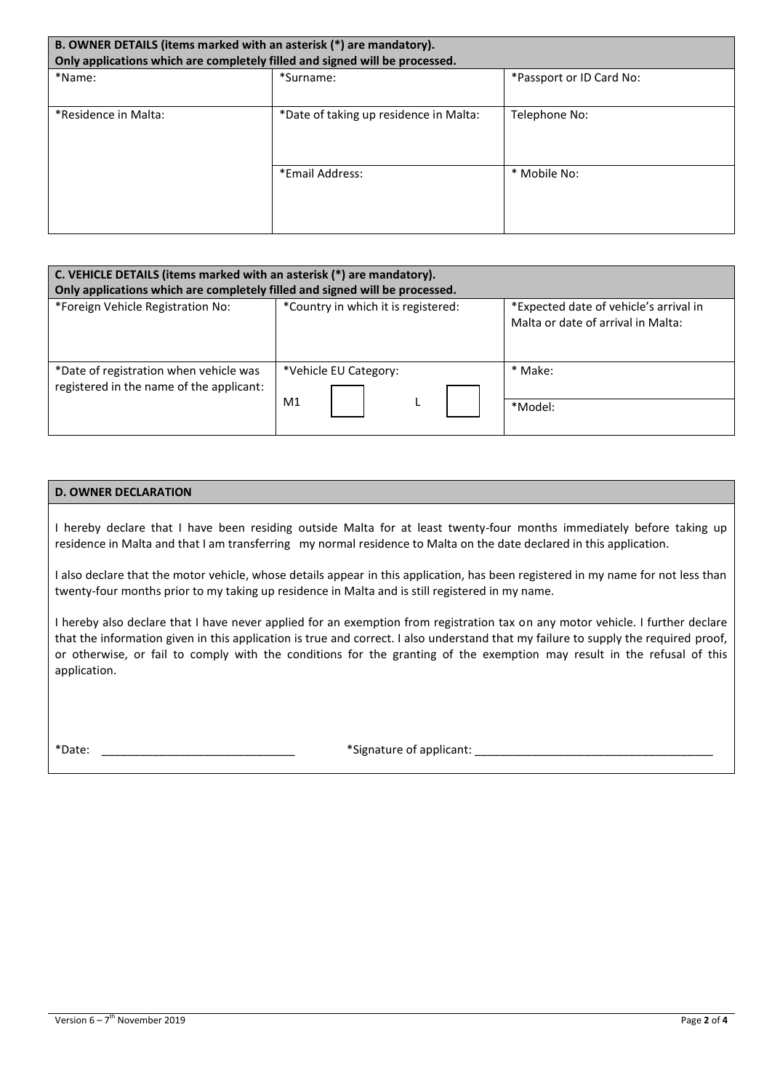| B. OWNER DETAILS (items marked with an asterisk (*) are mandatory).<br>Only applications which are completely filled and signed will be processed. |                                        |                          |  |  |  |
|----------------------------------------------------------------------------------------------------------------------------------------------------|----------------------------------------|--------------------------|--|--|--|
| *Name:                                                                                                                                             | *Surname:                              | *Passport or ID Card No: |  |  |  |
| *Residence in Malta:                                                                                                                               | *Date of taking up residence in Malta: | Telephone No:            |  |  |  |
|                                                                                                                                                    | *Email Address:                        | * Mobile No:             |  |  |  |

| C. VEHICLE DETAILS (items marked with an asterisk (*) are mandatory).<br>Only applications which are completely filled and signed will be processed. |                                         |                                                                              |  |  |  |
|------------------------------------------------------------------------------------------------------------------------------------------------------|-----------------------------------------|------------------------------------------------------------------------------|--|--|--|
| *Foreign Vehicle Registration No:                                                                                                                    | *Country in which it is registered:     | *Expected date of vehicle's arrival in<br>Malta or date of arrival in Malta: |  |  |  |
| *Date of registration when vehicle was<br>registered in the name of the applicant:                                                                   | *Vehicle EU Category:<br>M <sub>1</sub> | * Make:<br>*Model:                                                           |  |  |  |
|                                                                                                                                                      |                                         |                                                                              |  |  |  |

# **D. OWNER DECLARATION**

I hereby declare that I have been residing outside Malta for at least twenty-four months immediately before taking up residence in Malta and that I am transferring my normal residence to Malta on the date declared in this application.

I also declare that the motor vehicle, whose details appear in this application, has been registered in my name for not less than twenty-four months prior to my taking up residence in Malta and is still registered in my name.

I hereby also declare that I have never applied for an exemption from registration tax on any motor vehicle. I further declare that the information given in this application is true and correct. I also understand that my failure to supply the required proof, or otherwise, or fail to comply with the conditions for the granting of the exemption may result in the refusal of this application.

\*Date: \_\_\_\_\_\_\_\_\_\_\_\_\_\_\_\_\_\_\_\_\_\_\_\_\_\_\_\_\_\_ \*Signature of applicant: \_\_\_\_\_\_\_\_\_\_\_\_\_\_\_\_\_\_\_\_\_\_\_\_\_\_\_\_\_\_\_\_\_\_\_\_\_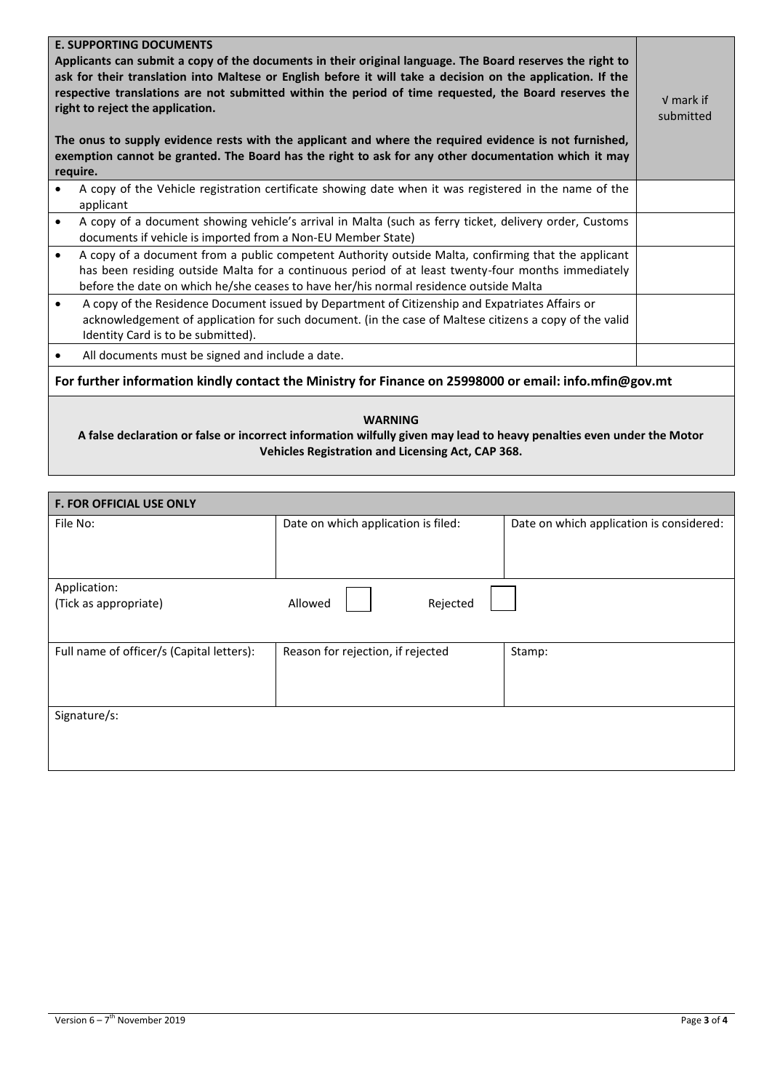| <b>E. SUPPORTING DOCUMENTS</b><br>Applicants can submit a copy of the documents in their original language. The Board reserves the right to<br>ask for their translation into Maltese or English before it will take a decision on the application. If the<br>respective translations are not submitted within the period of time requested, the Board reserves the<br>right to reject the application.<br>The onus to supply evidence rests with the applicant and where the required evidence is not furnished,<br>exemption cannot be granted. The Board has the right to ask for any other documentation which it may<br>require. |                                                                                                                                                                                                                                                                                                    | $V$ mark if<br>submitted |  |
|---------------------------------------------------------------------------------------------------------------------------------------------------------------------------------------------------------------------------------------------------------------------------------------------------------------------------------------------------------------------------------------------------------------------------------------------------------------------------------------------------------------------------------------------------------------------------------------------------------------------------------------|----------------------------------------------------------------------------------------------------------------------------------------------------------------------------------------------------------------------------------------------------------------------------------------------------|--------------------------|--|
| $\bullet$                                                                                                                                                                                                                                                                                                                                                                                                                                                                                                                                                                                                                             | A copy of the Vehicle registration certificate showing date when it was registered in the name of the<br>applicant                                                                                                                                                                                 |                          |  |
| $\bullet$                                                                                                                                                                                                                                                                                                                                                                                                                                                                                                                                                                                                                             | A copy of a document showing vehicle's arrival in Malta (such as ferry ticket, delivery order, Customs<br>documents if vehicle is imported from a Non-EU Member State)                                                                                                                             |                          |  |
| $\bullet$                                                                                                                                                                                                                                                                                                                                                                                                                                                                                                                                                                                                                             | A copy of a document from a public competent Authority outside Malta, confirming that the applicant<br>has been residing outside Malta for a continuous period of at least twenty-four months immediately<br>before the date on which he/she ceases to have her/his normal residence outside Malta |                          |  |
| $\bullet$                                                                                                                                                                                                                                                                                                                                                                                                                                                                                                                                                                                                                             | A copy of the Residence Document issued by Department of Citizenship and Expatriates Affairs or<br>acknowledgement of application for such document. (in the case of Maltese citizens a copy of the valid<br>Identity Card is to be submitted).                                                    |                          |  |
| $\bullet$                                                                                                                                                                                                                                                                                                                                                                                                                                                                                                                                                                                                                             | All documents must be signed and include a date.                                                                                                                                                                                                                                                   |                          |  |
| For further information kindly contact the Ministry for Finance on 25998000 or email: info.mfin@gov.mt                                                                                                                                                                                                                                                                                                                                                                                                                                                                                                                                |                                                                                                                                                                                                                                                                                                    |                          |  |
| <b>WARNING</b><br>A false declaration or false or incorrect information wilfully given may lead to heavy penalties even under the Motor<br><b>Vehicles Registration and Licensing Act, CAP 368.</b>                                                                                                                                                                                                                                                                                                                                                                                                                                   |                                                                                                                                                                                                                                                                                                    |                          |  |

| <b>F. FOR OFFICIAL USE ONLY</b>           |                                     |                                          |  |  |
|-------------------------------------------|-------------------------------------|------------------------------------------|--|--|
| File No:                                  | Date on which application is filed: | Date on which application is considered: |  |  |
|                                           |                                     |                                          |  |  |
|                                           |                                     |                                          |  |  |
| Application:                              |                                     |                                          |  |  |
| (Tick as appropriate)                     | Allowed<br>Rejected                 |                                          |  |  |
|                                           |                                     |                                          |  |  |
|                                           |                                     |                                          |  |  |
| Full name of officer/s (Capital letters): | Reason for rejection, if rejected   | Stamp:                                   |  |  |
|                                           |                                     |                                          |  |  |
|                                           |                                     |                                          |  |  |
| Signature/s:                              |                                     |                                          |  |  |
|                                           |                                     |                                          |  |  |
|                                           |                                     |                                          |  |  |
|                                           |                                     |                                          |  |  |